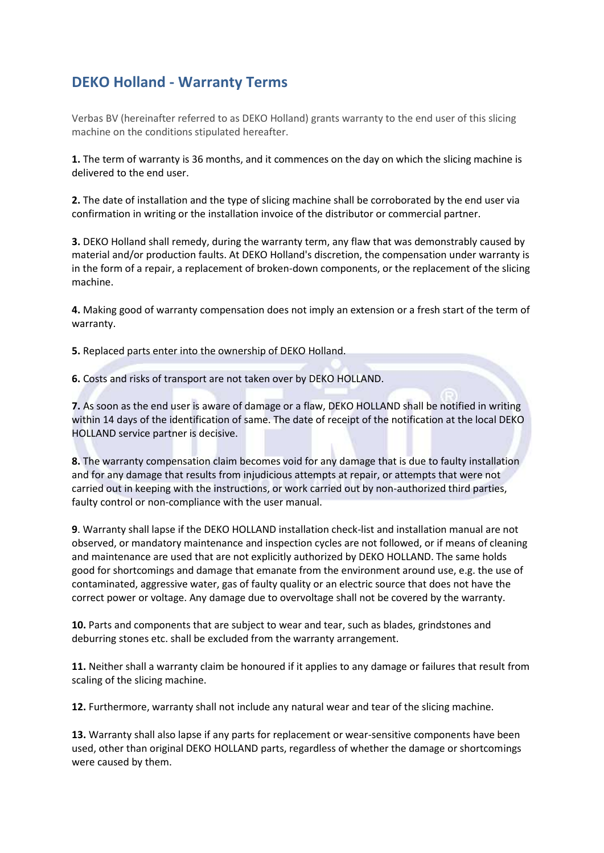## **DEKO Holland - Warranty Terms**

Verbas BV (hereinafter referred to as DEKO Holland) grants warranty to the end user of this slicing machine on the conditions stipulated hereafter.

**1.** The term of warranty is 36 months, and it commences on the day on which the slicing machine is delivered to the end user.

**2.** The date of installation and the type of slicing machine shall be corroborated by the end user via confirmation in writing or the installation invoice of the distributor or commercial partner.

**3.** DEKO Holland shall remedy, during the warranty term, any flaw that was demonstrably caused by material and/or production faults. At DEKO Holland's discretion, the compensation under warranty is in the form of a repair, a replacement of broken-down components, or the replacement of the slicing machine.

**4.** Making good of warranty compensation does not imply an extension or a fresh start of the term of warranty.

**5.** Replaced parts enter into the ownership of DEKO Holland.

**6.** Costs and risks of transport are not taken over by DEKO HOLLAND.

**7.** As soon as the end user is aware of damage or a flaw, DEKO HOLLAND shall be notified in writing within 14 days of the identification of same. The date of receipt of the notification at the local DEKO HOLLAND service partner is decisive.

**8.** The warranty compensation claim becomes void for any damage that is due to faulty installation and for any damage that results from injudicious attempts at repair, or attempts that were not carried out in keeping with the instructions, or work carried out by non-authorized third parties, faulty control or non-compliance with the user manual.

**9**. Warranty shall lapse if the DEKO HOLLAND installation check-list and installation manual are not observed, or mandatory maintenance and inspection cycles are not followed, or if means of cleaning and maintenance are used that are not explicitly authorized by DEKO HOLLAND. The same holds good for shortcomings and damage that emanate from the environment around use, e.g. the use of contaminated, aggressive water, gas of faulty quality or an electric source that does not have the correct power or voltage. Any damage due to overvoltage shall not be covered by the warranty.

**10.** Parts and components that are subject to wear and tear, such as blades, grindstones and deburring stones etc. shall be excluded from the warranty arrangement.

**11.** Neither shall a warranty claim be honoured if it applies to any damage or failures that result from scaling of the slicing machine.

**12.** Furthermore, warranty shall not include any natural wear and tear of the slicing machine.

**13.** Warranty shall also lapse if any parts for replacement or wear-sensitive components have been used, other than original DEKO HOLLAND parts, regardless of whether the damage or shortcomings were caused by them.